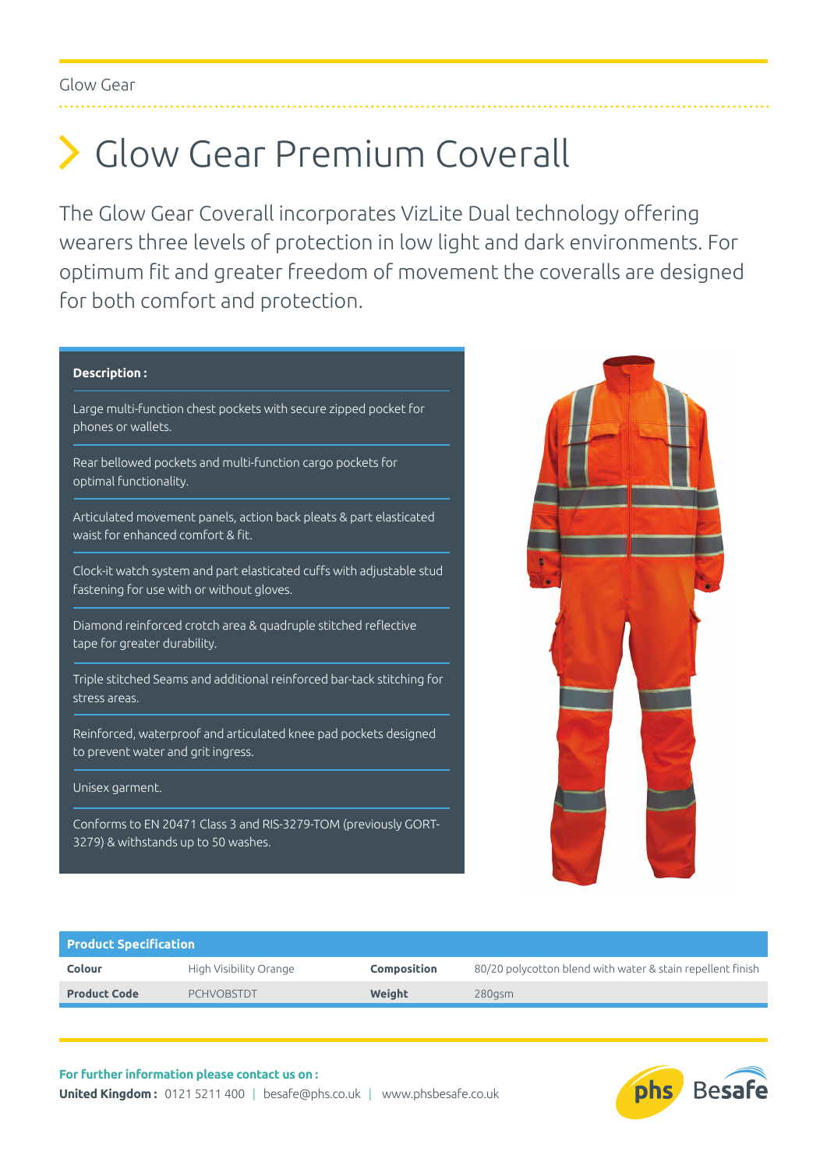# Glow Gear Premium Coverall

The Glow Gear Coverall incorporates VizLite Dual technology offering wearers three levels of protection in low light and dark environments. For optimum fit and greater freedom of movement the coveralls are designed for both comfort and protection.

## **Description :**

Large multi-function chest pockets with secure zipped pocket for phones or wallets.

Rear bellowed pockets and multi-function cargo pockets for optimal functionality.

Articulated movement panels, action back pleats & part elasticated waist for enhanced comfort & fit.

Clock-it watch system and part elasticated cuffs with adjustable stud fastening for use with or without gloves.

Diamond reinforced crotch area & quadruple stitched reflective tape for greater durability.

Triple stitched Seams and additional reinforced bar-tack stitching for stress areas.

Reinforced, waterproof and articulated knee pad pockets designed to prevent water and grit ingress.

#### Unisex garment.

Conforms to EN 20471 Class 3 and RIS-3279-TOM (previously GORT-3279) & withstands up to 50 washes.



| <b>Product Specification</b> |                        |                    |                                                            |  |  |  |  |  |
|------------------------------|------------------------|--------------------|------------------------------------------------------------|--|--|--|--|--|
| Colour                       | High Visibility Orange | <b>Composition</b> | 80/20 polycotton blend with water & stain repellent finish |  |  |  |  |  |
| <b>Product Code</b>          | <b>PCHVOBSTDT</b>      | Weight             | 280gsm                                                     |  |  |  |  |  |